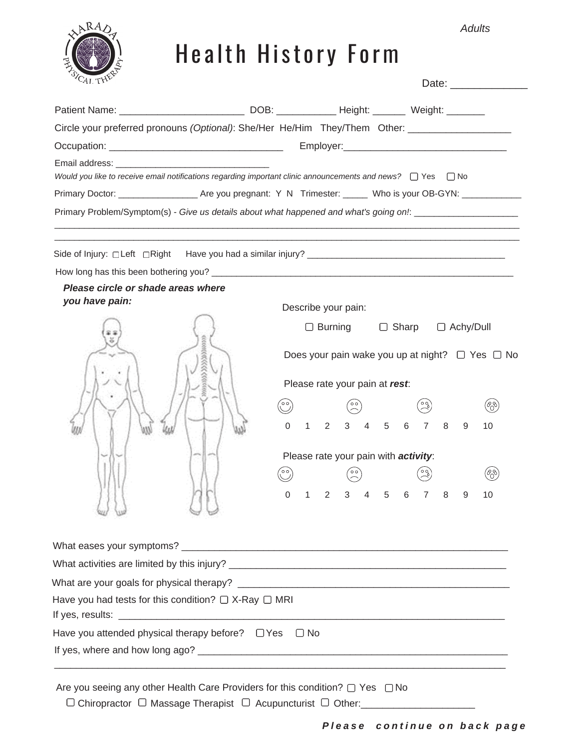*Adults*



## Health History Form

|                                                                | Circle your preferred pronouns (Optional): She/Her He/Him They/Them Other: ________________________                                                                                                                                                                                                                                                             |  |  |  |
|----------------------------------------------------------------|-----------------------------------------------------------------------------------------------------------------------------------------------------------------------------------------------------------------------------------------------------------------------------------------------------------------------------------------------------------------|--|--|--|
|                                                                |                                                                                                                                                                                                                                                                                                                                                                 |  |  |  |
|                                                                | Would you like to receive email notifications regarding important clinic announcements and news? $\Box$ Yes $\Box$ No<br>Primary Doctor: __________________________Are you pregnant: Y N Trimester: ______ Who is your OB-GYN: ______________<br>Primary Problem/Symptom(s) - Give us details about what happened and what's going on!: _______________________ |  |  |  |
|                                                                |                                                                                                                                                                                                                                                                                                                                                                 |  |  |  |
|                                                                | How long has this been bothering you?<br><u> Letting the contract of the contract of the contract of the contract of the contract of the contract of the contract of the contract of the contract of the contract of the contract </u>                                                                                                                          |  |  |  |
| Please circle or shade areas where                             |                                                                                                                                                                                                                                                                                                                                                                 |  |  |  |
| you have pain:                                                 | Describe your pain:                                                                                                                                                                                                                                                                                                                                             |  |  |  |
|                                                                | $\Box$ Burning $\Box$ Sharp $\Box$ Achy/Dull                                                                                                                                                                                                                                                                                                                    |  |  |  |
|                                                                | Does your pain wake you up at night? $\Box$ Yes $\Box$ No                                                                                                                                                                                                                                                                                                       |  |  |  |
|                                                                | Please rate your pain at rest:                                                                                                                                                                                                                                                                                                                                  |  |  |  |
|                                                                | (%)                                                                                                                                                                                                                                                                                                                                                             |  |  |  |
|                                                                | $1 \t2 \t3 \t4 \t5 \t6 \t7 \t8$<br>$\Omega$<br>9<br>10                                                                                                                                                                                                                                                                                                          |  |  |  |
|                                                                | Please rate your pain with activity:                                                                                                                                                                                                                                                                                                                            |  |  |  |
|                                                                | (%)                                                                                                                                                                                                                                                                                                                                                             |  |  |  |
|                                                                | 3 4 5 6 7 8                                                                                                                                                                                                                                                                                                                                                     |  |  |  |
|                                                                | $2^{\circ}$<br>$\mathbf{1}$<br>9<br>10<br>0                                                                                                                                                                                                                                                                                                                     |  |  |  |
|                                                                |                                                                                                                                                                                                                                                                                                                                                                 |  |  |  |
|                                                                |                                                                                                                                                                                                                                                                                                                                                                 |  |  |  |
|                                                                |                                                                                                                                                                                                                                                                                                                                                                 |  |  |  |
| Have you had tests for this condition? $\Box$ X-Ray $\Box$ MRI |                                                                                                                                                                                                                                                                                                                                                                 |  |  |  |
| Have you attended physical therapy before? $\Box$ Yes          | $\Box$ No                                                                                                                                                                                                                                                                                                                                                       |  |  |  |
|                                                                |                                                                                                                                                                                                                                                                                                                                                                 |  |  |  |

 $\Box$  Chiropractor  $\Box$  Massage Therapist  $\Box$  Acupuncturist  $\Box$  Other: